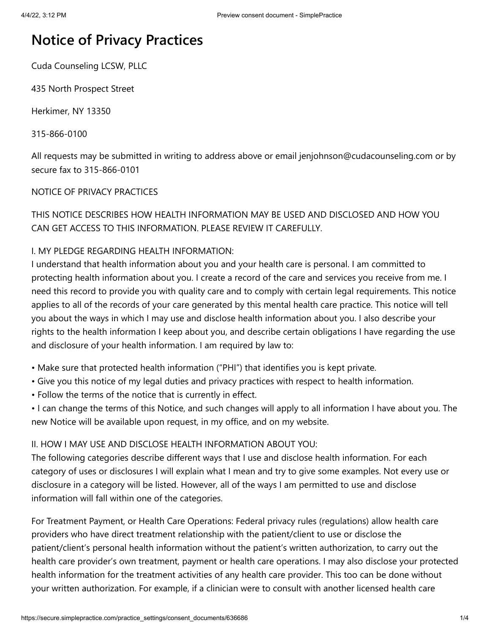# **Notice of Privacy Practices**

Cuda Counseling LCSW, PLLC

435 North Prospect Street

Herkimer, NY 13350

315-866-0100

All requests may be submitted in writing to address above or email jenjohnson@cudacounseling.com or by secure fax to 315-866-0101

## NOTICE OF PRIVACY PRACTICES

THIS NOTICE DESCRIBES HOW HEALTH INFORMATION MAY BE USED AND DISCLOSED AND HOW YOU CAN GET ACCESS TO THIS INFORMATION. PLEASE REVIEW IT CAREFULLY.

## I. MY PLEDGE REGARDING HEALTH INFORMATION:

I understand that health information about you and your health care is personal. I am committed to protecting health information about you. I create a record of the care and services you receive from me. I need this record to provide you with quality care and to comply with certain legal requirements. This notice applies to all of the records of your care generated by this mental health care practice. This notice will tell you about the ways in which I may use and disclose health information about you. I also describe your rights to the health information I keep about you, and describe certain obligations I have regarding the use and disclosure of your health information. I am required by law to:

• Make sure that protected health information ("PHI") that identifies you is kept private.

- Give you this notice of my legal duties and privacy practices with respect to health information.
- Follow the terms of the notice that is currently in effect.

• I can change the terms of this Notice, and such changes will apply to all information I have about you. The new Notice will be available upon request, in my office, and on my website.

## II. HOW I MAY USE AND DISCLOSE HEALTH INFORMATION ABOUT YOU:

The following categories describe different ways that I use and disclose health information. For each category of uses or disclosures I will explain what I mean and try to give some examples. Not every use or disclosure in a category will be listed. However, all of the ways I am permitted to use and disclose information will fall within one of the categories.

For Treatment Payment, or Health Care Operations: Federal privacy rules (regulations) allow health care providers who have direct treatment relationship with the patient/client to use or disclose the patient/client's personal health information without the patient's written authorization, to carry out the health care provider's own treatment, payment or health care operations. I may also disclose your protected health information for the treatment activities of any health care provider. This too can be done without your written authorization. For example, if a clinician were to consult with another licensed health care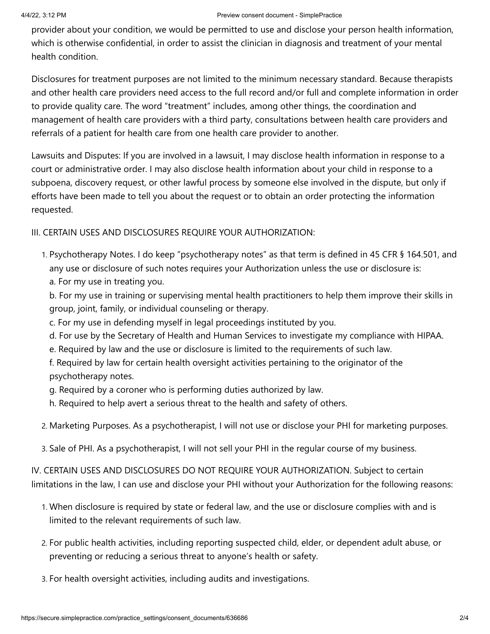#### 4/4/22, 3:12 PM Preview consent document - SimplePractice

provider about your condition, we would be permitted to use and disclose your person health information, which is otherwise confidential, in order to assist the clinician in diagnosis and treatment of your mental health condition.

Disclosures for treatment purposes are not limited to the minimum necessary standard. Because therapists and other health care providers need access to the full record and/or full and complete information in order to provide quality care. The word "treatment" includes, among other things, the coordination and management of health care providers with a third party, consultations between health care providers and referrals of a patient for health care from one health care provider to another.

Lawsuits and Disputes: If you are involved in a lawsuit, I may disclose health information in response to a court or administrative order. I may also disclose health information about your child in response to a subpoena, discovery request, or other lawful process by someone else involved in the dispute, but only if efforts have been made to tell you about the request or to obtain an order protecting the information requested.

## III. CERTAIN USES AND DISCLOSURES REQUIRE YOUR AUTHORIZATION:

1. Psychotherapy Notes. I do keep "psychotherapy notes" as that term is defined in 45 CFR § 164.501, and any use or disclosure of such notes requires your Authorization unless the use or disclosure is: a. For my use in treating you.

b. For my use in training or supervising mental health practitioners to help them improve their skills in group, joint, family, or individual counseling or therapy.

- c. For my use in defending myself in legal proceedings instituted by you.
- d. For use by the Secretary of Health and Human Services to investigate my compliance with HIPAA.
- e. Required by law and the use or disclosure is limited to the requirements of such law.

f. Required by law for certain health oversight activities pertaining to the originator of the psychotherapy notes.

g. Required by a coroner who is performing duties authorized by law.

h. Required to help avert a serious threat to the health and safety of others.

- 2. Marketing Purposes. As a psychotherapist, I will not use or disclose your PHI for marketing purposes.
- 3. Sale of PHI. As a psychotherapist, I will not sell your PHI in the regular course of my business.

IV. CERTAIN USES AND DISCLOSURES DO NOT REQUIRE YOUR AUTHORIZATION. Subject to certain limitations in the law, I can use and disclose your PHI without your Authorization for the following reasons:

- 1. When disclosure is required by state or federal law, and the use or disclosure complies with and is limited to the relevant requirements of such law.
- 2. For public health activities, including reporting suspected child, elder, or dependent adult abuse, or preventing or reducing a serious threat to anyone's health or safety.
- 3. For health oversight activities, including audits and investigations.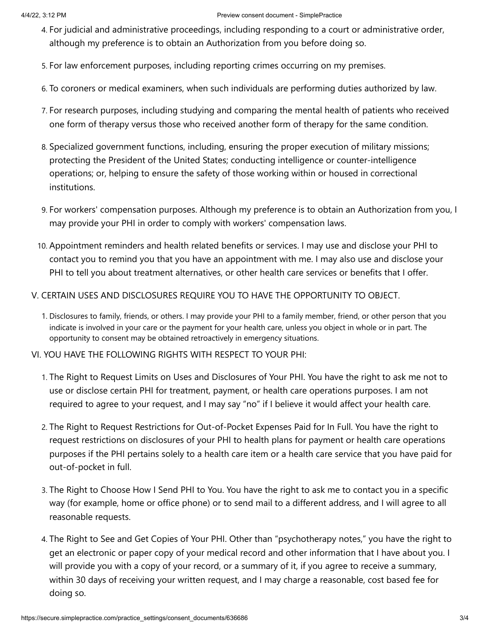- 4. For judicial and administrative proceedings, including responding to a court or administrative order, although my preference is to obtain an Authorization from you before doing so.
- 5. For law enforcement purposes, including reporting crimes occurring on my premises.
- 6. To coroners or medical examiners, when such individuals are performing duties authorized by law.
- 7. For research purposes, including studying and comparing the mental health of patients who received one form of therapy versus those who received another form of therapy for the same condition.
- 8. Specialized government functions, including, ensuring the proper execution of military missions; protecting the President of the United States; conducting intelligence or counter-intelligence operations; or, helping to ensure the safety of those working within or housed in correctional institutions.
- 9. For workers' compensation purposes. Although my preference is to obtain an Authorization from you, I may provide your PHI in order to comply with workers' compensation laws.
- 10. Appointment reminders and health related benefits or services. I may use and disclose your PHI to contact you to remind you that you have an appointment with me. I may also use and disclose your PHI to tell you about treatment alternatives, or other health care services or benefits that I offer.

## V. CERTAIN USES AND DISCLOSURES REQUIRE YOU TO HAVE THE OPPORTUNITY TO OBJECT.

- 1. Disclosures to family, friends, or others. I may provide your PHI to a family member, friend, or other person that you indicate is involved in your care or the payment for your health care, unless you object in whole or in part. The opportunity to consent may be obtained retroactively in emergency situations.
- VI. YOU HAVE THE FOLLOWING RIGHTS WITH RESPECT TO YOUR PHI:
	- 1. The Right to Request Limits on Uses and Disclosures of Your PHI. You have the right to ask me not to use or disclose certain PHI for treatment, payment, or health care operations purposes. I am not required to agree to your request, and I may say "no" if I believe it would affect your health care.
	- 2. The Right to Request Restrictions for Out-of-Pocket Expenses Paid for In Full. You have the right to request restrictions on disclosures of your PHI to health plans for payment or health care operations purposes if the PHI pertains solely to a health care item or a health care service that you have paid for out-of-pocket in full.
	- 3. The Right to Choose How I Send PHI to You. You have the right to ask me to contact you in a specific way (for example, home or office phone) or to send mail to a different address, and I will agree to all reasonable requests.
	- 4. The Right to See and Get Copies of Your PHI. Other than "psychotherapy notes," you have the right to get an electronic or paper copy of your medical record and other information that I have about you. I will provide you with a copy of your record, or a summary of it, if you agree to receive a summary, within 30 days of receiving your written request, and I may charge a reasonable, cost based fee for doing so.